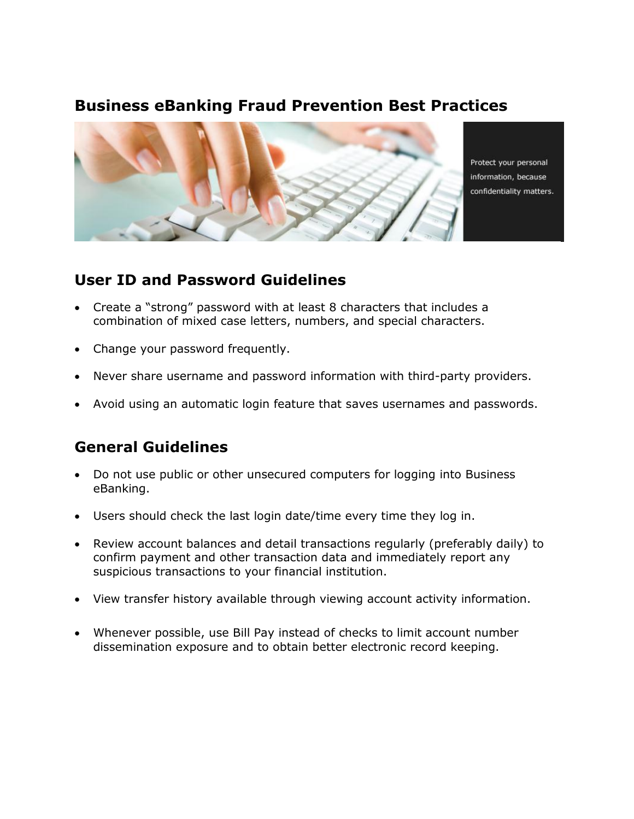### **Business eBanking Fraud Prevention Best Practices**



Protect your personal information, because confidentiality matters.

#### **User ID and Password Guidelines**

- Create a "strong" password with at least 8 characters that includes a combination of mixed case letters, numbers, and special characters.
- Change your password frequently.
- Never share username and password information with third-party providers.
- Avoid using an automatic login feature that saves usernames and passwords.

### **General Guidelines**

- Do not use public or other unsecured computers for logging into Business eBanking.
- Users should check the last login date/time every time they log in.
- Review account balances and detail transactions regularly (preferably daily) to confirm payment and other transaction data and immediately report any suspicious transactions to your financial institution.
- View transfer history available through viewing account activity information.
- Whenever possible, use Bill Pay instead of checks to limit account number dissemination exposure and to obtain better electronic record keeping.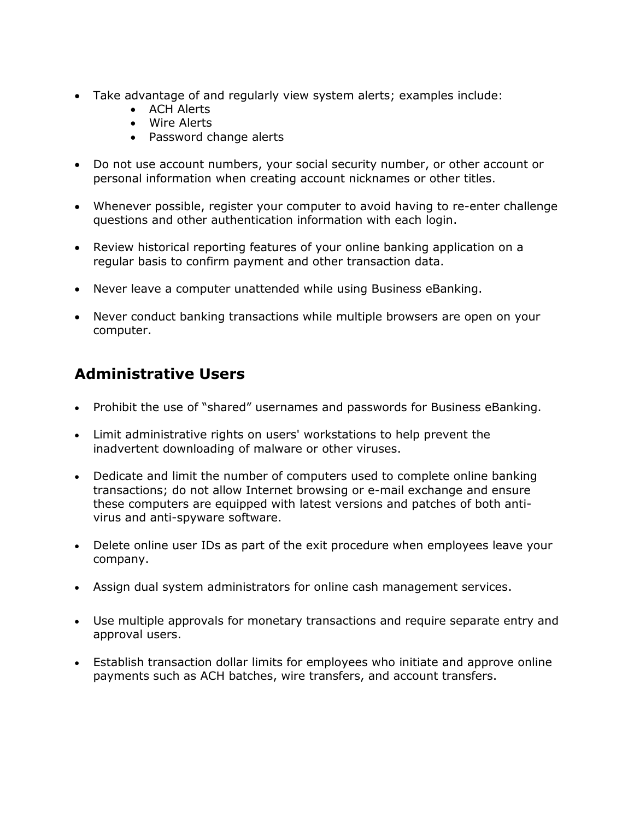- Take advantage of and regularly view system alerts; examples include:
	- ACH Alerts
	- Wire Alerts
	- Password change alerts
- Do not use account numbers, your social security number, or other account or personal information when creating account nicknames or other titles.
- Whenever possible, register your computer to avoid having to re-enter challenge questions and other authentication information with each login.
- Review historical reporting features of your online banking application on a regular basis to confirm payment and other transaction data.
- Never leave a computer unattended while using Business eBanking.
- Never conduct banking transactions while multiple browsers are open on your computer.

# **Administrative Users**

- Prohibit the use of "shared" usernames and passwords for Business eBanking.
- Limit administrative rights on users' workstations to help prevent the inadvertent downloading of malware or other viruses.
- Dedicate and limit the number of computers used to complete online banking transactions; do not allow Internet browsing or e-mail exchange and ensure these computers are equipped with latest versions and patches of both antivirus and anti-spyware software.
- Delete online user IDs as part of the exit procedure when employees leave your company.
- Assign dual system administrators for online cash management services.
- Use multiple approvals for monetary transactions and require separate entry and approval users.
- Establish transaction dollar limits for employees who initiate and approve online payments such as ACH batches, wire transfers, and account transfers.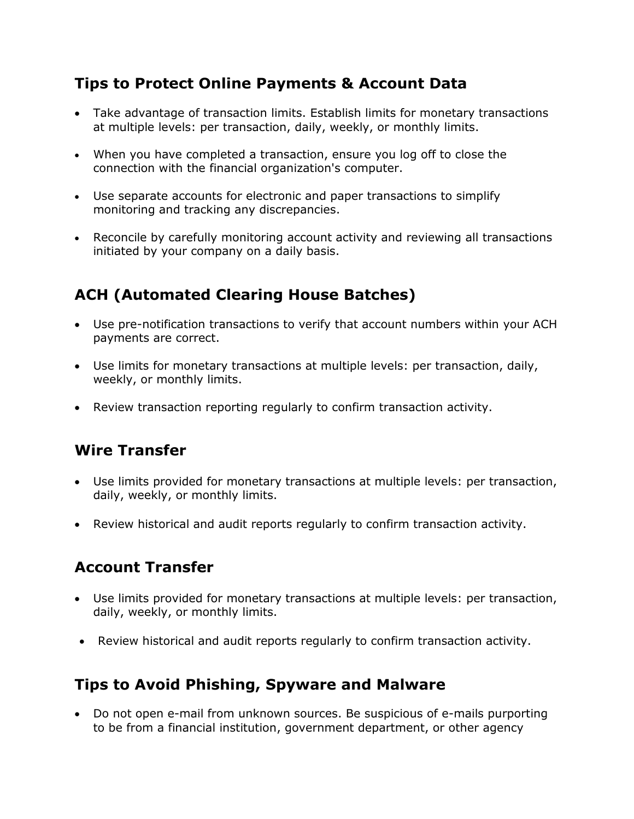## **Tips to Protect Online Payments & Account Data**

- Take advantage of transaction limits. Establish limits for monetary transactions at multiple levels: per transaction, daily, weekly, or monthly limits.
- When you have completed a transaction, ensure you log off to close the connection with the financial organization's computer.
- Use separate accounts for electronic and paper transactions to simplify monitoring and tracking any discrepancies.
- Reconcile by carefully monitoring account activity and reviewing all transactions initiated by your company on a daily basis.

# **ACH (Automated Clearing House Batches)**

- Use pre-notification transactions to verify that account numbers within your ACH payments are correct.
- Use limits for monetary transactions at multiple levels: per transaction, daily, weekly, or monthly limits.
- Review transaction reporting regularly to confirm transaction activity.

## **Wire Transfer**

- Use limits provided for monetary transactions at multiple levels: per transaction, daily, weekly, or monthly limits.
- Review historical and audit reports regularly to confirm transaction activity.

## **Account Transfer**

- Use limits provided for monetary transactions at multiple levels: per transaction, daily, weekly, or monthly limits.
- Review historical and audit reports regularly to confirm transaction activity.

### **Tips to Avoid Phishing, Spyware and Malware**

 Do not open e-mail from unknown sources. Be suspicious of e-mails purporting to be from a financial institution, government department, or other agency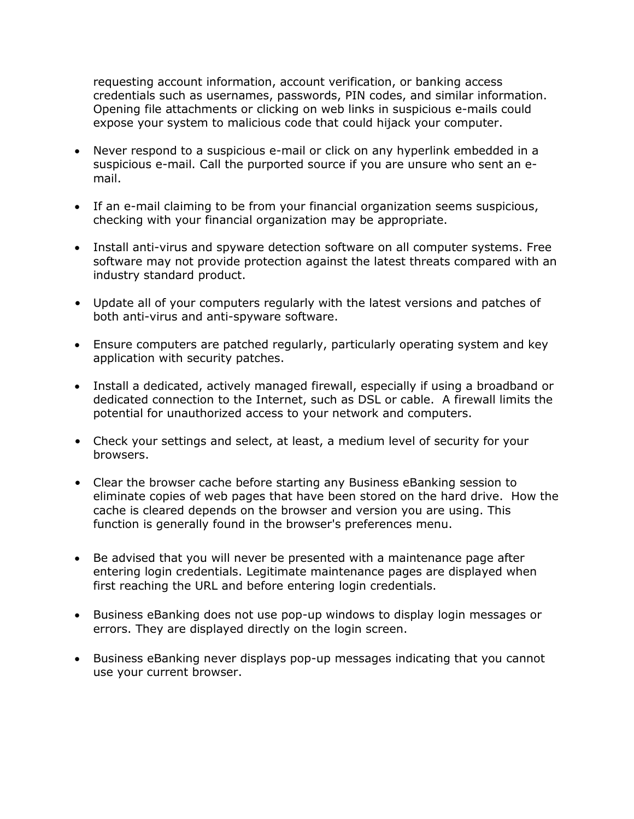requesting account information, account verification, or banking access credentials such as usernames, passwords, PIN codes, and similar information. Opening file attachments or clicking on web links in suspicious e-mails could expose your system to malicious code that could hijack your computer.

- Never respond to a suspicious e-mail or click on any hyperlink embedded in a suspicious e-mail. Call the purported source if you are unsure who sent an email.
- If an e-mail claiming to be from your financial organization seems suspicious, checking with your financial organization may be appropriate.
- Install anti-virus and spyware detection software on all computer systems. Free software may not provide protection against the latest threats compared with an industry standard product.
- Update all of your computers regularly with the latest versions and patches of both anti-virus and anti-spyware software.
- Ensure computers are patched regularly, particularly operating system and key application with security patches.
- Install a dedicated, actively managed firewall, especially if using a broadband or dedicated connection to the Internet, such as DSL or cable. A firewall limits the potential for unauthorized access to your network and computers.
- Check your settings and select, at least, a medium level of security for your browsers.
- Clear the browser cache before starting any Business eBanking session to eliminate copies of web pages that have been stored on the hard drive. How the cache is cleared depends on the browser and version you are using. This function is generally found in the browser's preferences menu.
- Be advised that you will never be presented with a maintenance page after entering login credentials. Legitimate maintenance pages are displayed when first reaching the URL and before entering login credentials.
- Business eBanking does not use pop-up windows to display login messages or errors. They are displayed directly on the login screen.
- Business eBanking never displays pop-up messages indicating that you cannot use your current browser.